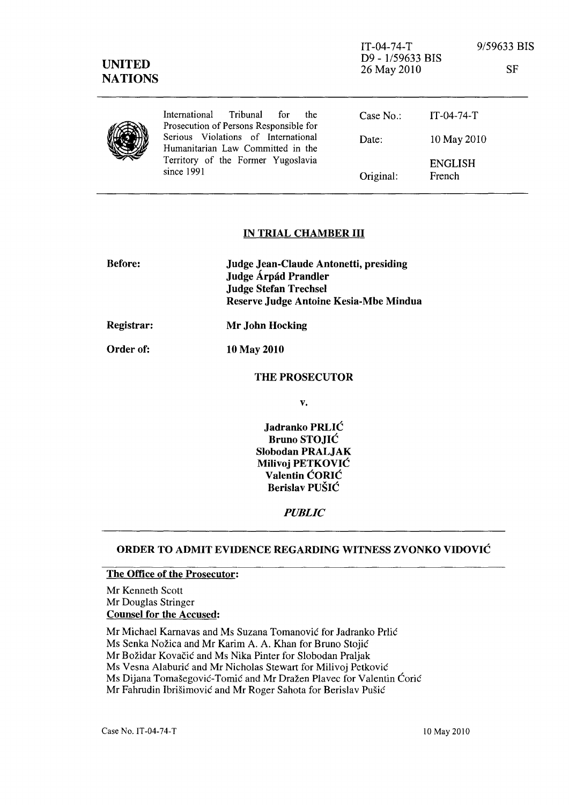| <b>UNITED</b><br><b>NATIONS</b> |                                                                                                                              | $IT-04-74-T$<br>D9 - 1/59633 BIS<br>26 May 2010 |                          | 9/59633 BIS<br>SF |
|---------------------------------|------------------------------------------------------------------------------------------------------------------------------|-------------------------------------------------|--------------------------|-------------------|
|                                 | International<br>Tribunal<br>the<br>for<br>Prosecution of Persons Responsible for                                            | Case $No.$ :                                    | $IT-04-74-T$             |                   |
|                                 | Serious Violations of International<br>Humanitarian Law Committed in the<br>Territory of the Former Yugoslavia<br>since 1991 | Date:                                           | 10 May 2010              |                   |
|                                 |                                                                                                                              | Original:                                       | <b>ENGLISH</b><br>French |                   |

#### IN TRIAL CHAMBER III

| <b>Before:</b>   | Judge Jean-Claude Antonetti, presiding<br>Judge Árpád Prandler<br><b>Judge Stefan Trechsel</b><br>Reserve Judge Antoine Kesia-Mbe Mindua |
|------------------|------------------------------------------------------------------------------------------------------------------------------------------|
| Registrar:       | Mr John Hocking                                                                                                                          |
| <b>Order of:</b> | 10 May 2010                                                                                                                              |

# THE PROSECUTOR

v.

Jadranko PRLIC Bruno STOJIC Slobodan PRALJAK Milivoj PETKOVIC Valentin CORIC Berislav PUSIC

*PUBLIC* 

#### ORDER TO ADMIT EVIDENCE REGARDING WITNESS ZVONKO VIDOVIC

### The Office of the Prosecutor:

Mr Kenneth Scott Mr Douglas Stringer Counsel for the Accused:

Mr Michael Karnavas and Ms Suzana Tomanovic for Jadranko Prlic

Ms Senka Nožica and Mr Karim A. A. Khan for Bruno Stojić

Mr Božidar Kovačić and Ms Nika Pinter for Slobodan Praljak

Ms Vesna Alaburić and Mr Nicholas Stewart for Milivoj Petković

Ms Dijana Tomašegović-Tomić and Mr Dražen Plavec for Valentin Ćorić

Mr Fahrudin Ibrišimović and Mr Roger Sahota for Berislav Pušić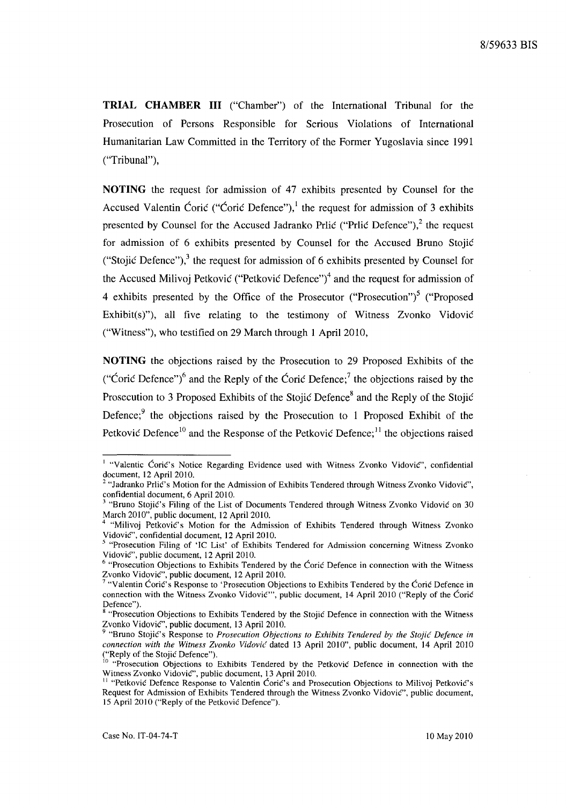**TRIAL CHAMBER III** ("Chamber") of the International Tribunal for the Prosecution of Persons Responsible for Serious Violations of International Humanitarian Law Committed in the Territory of the Former Yugoslavia since 1991 ("Tribunal"),

**NOTING** the request for admission of 47 exhibits presented by Counsel for the Accused Valentin Ćorić ("Ćorić Defence"),<sup>1</sup> the request for admission of 3 exhibits presented by Counsel for the Accused Jadranko Prlic ("Prlic Defence"),<sup>2</sup> the request for admission of 6 exhibits presented by Counsel for the Accused Bruno Stojic ("Stojić Defence"), $3$  the request for admission of 6 exhibits presented by Counsel for the Accused Milivoj Petković ("Petković Defence")<sup>4</sup> and the request for admission of 4 exhibits presented by the Office of the Prosecutor ("Prosecution")<sup>5</sup> ("Proposed Exhibit(s)"), all five relating to the testimony of Witness Zvonko Vidovic ("Witness"), who testified on 29 March through 1 April 2010,

**NOTING** the objections raised by the Prosecution to 29 Proposed Exhibits of the ("Coric Defence")<sup>6</sup> and the Reply of the Coric Defence;<sup>7</sup> the objections raised by the Prosecution to 3 Proposed Exhibits of the Stojić Defence<sup>8</sup> and the Reply of the Stojić Defence;  $9$  the objections raised by the Prosecution to 1 Proposed Exhibit of the Petković Defence<sup>10</sup> and the Response of the Petković Defence;<sup>11</sup> the objections raised

<sup>&</sup>lt;sup>1</sup> "Valentic Ćorić's Notice Regarding Evidence used with Witness Zvonko Vidović", confidential document, 12 April 2010.

<sup>2</sup>"Jadranko Prlie's Motion for the Admission of Exhibits Tendered through Witness Zvonko Vidovie", confidential document, 6 April 2010.

<sup>3</sup>"Bruno Stojie's Filing of the List of Documents Tendered through Witness Zvonko Vidovie on 30 March 2010", public document, 12 April 2010.

<sup>&</sup>quot;Milivoj Petković's Motion for the Admission of Exhibits Tendered through Witness Zvonko Vidović", confidential document, 12 April 2010.

<sup>&</sup>lt;sup>5</sup> "Prosecution Filing of 'IC List' of Exhibits Tendered for Admission concerning Witness Zvonko Vidović", public document, 12 April 2010.

 $6$  "Prosecution Objections to Exhibits Tendered by the Ćorić Defence in connection with the Witness Zvonko Vidovie", public document, 12 April 2010.

<sup>7</sup>"Valentin CariC's Response to 'Prosecution Objections to Exhibits Tendered by the Corie Defence in connection with the Witness Zvonko Vidović"', public document, 14 April 2010 ("Reply of the Ćorić Defence").

<sup>&</sup>lt;sup>8</sup> "Prosecution Objections to Exhibits Tendered by the Stojić Defence in connection with the Witness Zvonko Vidović", public document, 13 April 2010.

<sup>9 &</sup>quot;Bruno Stojie's Response to *Prosecution Objections to Exhibits Tendered by the Stojic Defence in connection with the Witness Zvonko Vidović* dated 13 April 2010", public document, 14 April 2010 ("Reply of the Stojie Defence").

<sup>&</sup>lt;sup>10</sup> "Prosecution Objections to Exhibits Tendered by the Petkovic Defence in connection with the Witness Zvonko Vidović", public document, 13 April 2010.

<sup>&</sup>lt;sup>11</sup> "Petković Defence Response to Valentin Ćorić's and Prosecution Objections to Milivoj Petković's Request for Admission of Exhibits Tendered through the Witness Zvonko Vidovic", public document, 15 April 2010 ("Reply of the Petković Defence").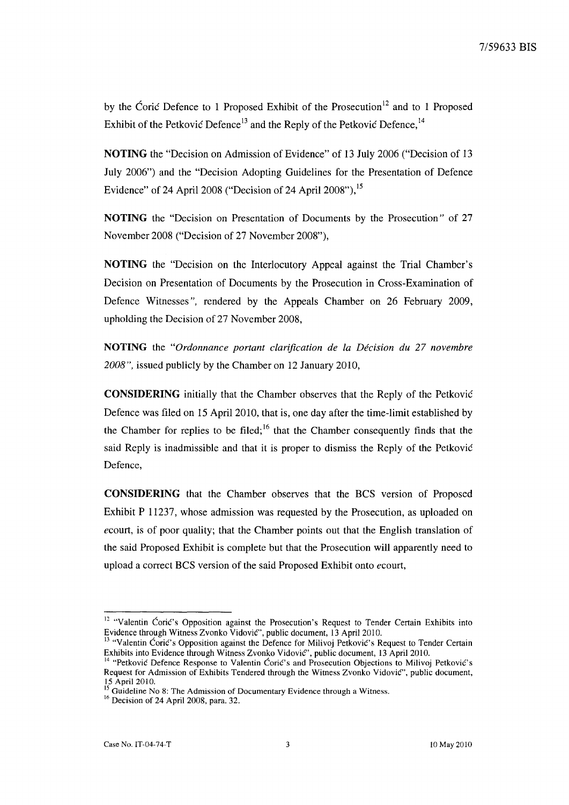by the Coric Defence to 1 Proposed Exhibit of the Prosecution<sup>12</sup> and to 1 Proposed Exhibit of the Petković Defence<sup>13</sup> and the Reply of the Petković Defence,  $14$ 

**NOTING** the "Decision on Admission of Evidence" of 13 July 2006 ("Decision of 13 July 2006") and the "Decision Adopting Guidelines for the Presentation of Defence Evidence" of 24 April 2008 ("Decision of 24 April 2008"),<sup>15</sup>

**NOTING** the "Decision on Presentation of Documents by the Prosecution" of 27 November 2008 ("Decision of 27 November 2008"),

**NOTING** the "Decision on the Interlocutory Appeal against the Trial Chamber's Decision on Presentation of Documents by the Prosecution in Cross-Examination of Defence Witnesses ", rendered by the Appeals Chamber on 26 February 2009, upholding the Decision of 27 November 2008,

**NOTING** the *"Ordonnance portant clarification de la Decision du* 27 *novembre 2008",* issued publicly by the Chamber on 12 January 2010,

**CONSIDERING** initially that the Chamber observes that the Reply of the Petkovic Defence was filed on 15 April 2010, that is, one day after the time-limit established by the Chamber for replies to be filed;  $16$  that the Chamber consequently finds that the said Reply is inadmissible and that it is proper to dismiss the Reply of the Petkovie Defence,

**CONSIDERING** that the Chamber observes that the BCS version of Proposed Exhibit P 11237, whose admission was requested by the Prosecution, as uploaded on *ecourt,* is of poor quality; that the Chamber points out that the English translation of the said Proposed Exhibit is complete but that the Prosecution will apparently need to upload a correct BCS version of the said Proposed Exhibit onto *ecourt,* 

<sup>&</sup>lt;sup>12</sup> "Valentin Coric's Opposition against the Prosecution's Request to Tender Certain Exhibits into Evidence through Witness Zvonko VidoviC", public document, 13 April 2010.

<sup>&</sup>lt;sup>13</sup> "Valentin Ćorić's Opposition against the Defence for Milivoj Petković's Request to Tender Certain Exhibits into Evidence through Witness Zvonko Vidović", public document, 13 April 2010.

<sup>&</sup>lt;sup>14</sup> "Petković Defence Response to Valentin Corić's and Prosecution Objections to Milivoj Petković's Request for Admission of Exhibits Tendered through the Witness Zvonko Vidovie", public document, 15 April 2010.

<sup>&</sup>lt;sup>15</sup> Guideline No 8: The Admission of Documentary Evidence through a Witness.

<sup>16</sup> Decision of 24 April 2008, para. 32.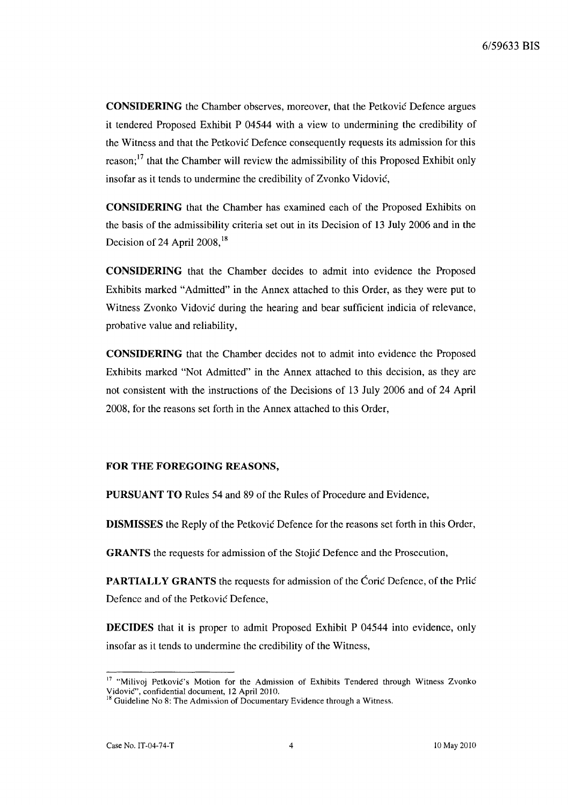**CONSIDERING** the Chamber observes, moreover, that the Petković Defence argues it tendered Proposed Exhibit P 04544 with a view to undermining the credibility of the Witness and that the Petkovie Defence consequently requests its admission for this reason;<sup>17</sup> that the Chamber will review the admissibility of this Proposed Exhibit only insofar as it tends to undermine the credibility of Zvonko Vidovie,

**CONSIDERING** that the Chamber has examined each of the Proposed Exhibits on the basis of the admissibility criteria set out in its Decision of 13 July 2006 and in the Decision of 24 April 2008, $^{18}$ 

**CONSIDERING** that the Chamber decides to admit into evidence the Proposed Exhibits marked "Admitted" in the Annex attached to this Order, as they were put to Witness Zvonko Vidović during the hearing and bear sufficient indicia of relevance, probative value and reliability,

**CONSIDERING** that the Chamber decides not to admit into evidence the Proposed Exhibits marked "Not Admitted" in the Annex attached to this decision, as they are not consistent with the instructions of the Decisions of 13 July 2006 and of 24 April 2008, for the reasons set forth in the Annex attached to this Order,

# **FOR THE FOREGOING** REASONS,

**PURSUANT TO** Rules 54 and 89 of the Rules of Procedure and Evidence,

**DISMISSES** the Reply of the Petkovic Defence for the reasons set forth in this Order,

**GRANTS** the requests for admission of the Stojie Defence and the Prosecution,

**PARTIALLY GRANTS** the requests for admission of the Corie Defence, of the Prlie Defence and of the Petković Defence,

**DECIDES** that it is proper to admit Proposed Exhibit P 04544 into evidence, only insofar as it tends to undermine the credibility of the Witness,

<sup>&</sup>lt;sup>17</sup> "Milivoj Petković's Motion for the Admission of Exhibits Tendered through Witness Zvonko Vidovic", confidential document, 12 Apri120IO.

<sup>&</sup>lt;sup>18</sup> Guideline No 8: The Admission of Documentary Evidence through a Witness.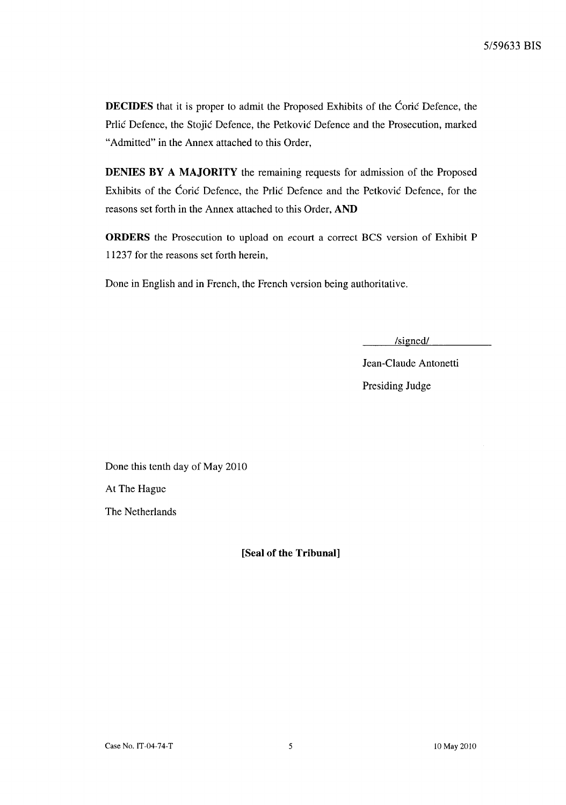**DECIDES** that it is proper to admit the Proposed Exhibits of the Coric Defence, the Prlić Defence, the Stojić Defence, the Petković Defence and the Prosecution, marked "Admitted" in the Annex attached to this Order,

**DENIES BY A MAJORITY** the remaining requests for admission of the Proposed Exhibits of the Ćorić Defence, the Prlić Defence and the Petković Defence, for the reasons set forth in the Annex attached to this Order, **AND** 

**ORDERS** the Prosecution to upload on *ecourt* a correct BCS version of Exhibit P 11237 for the reasons set forth herein,

Done in English and in French, the French version being authoritative.

*Isignedl* 

Jean-Claude Antonetti Presiding Judge

Done this tenth day of May 2010

At The Hague

The Netherlands

**[Seal of the Tribunal]**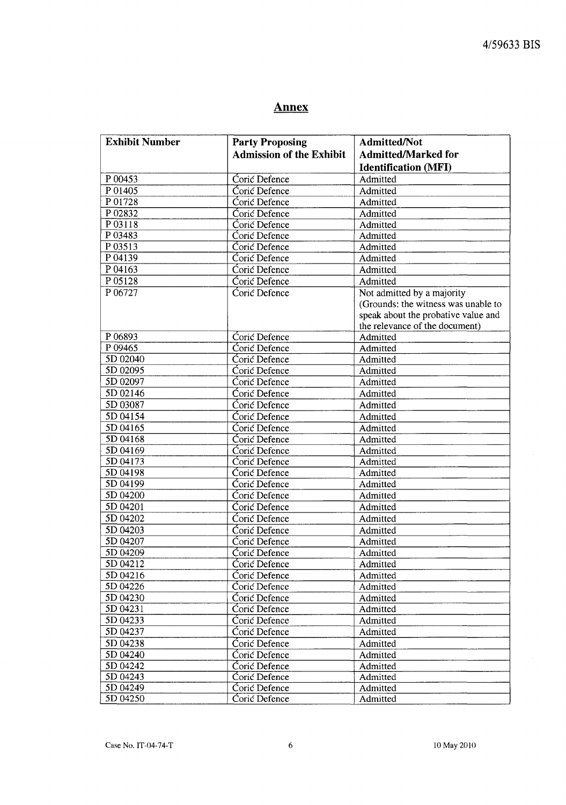# **Annex**

| <b>Exhibit Number</b> | <b>Party Proposing</b>          | <b>Admitted/Not</b>                 |
|-----------------------|---------------------------------|-------------------------------------|
|                       | <b>Admission of the Exhibit</b> | <b>Admitted/Marked for</b>          |
|                       |                                 | <b>Identification (MFI)</b>         |
| P 00453               | Ćorić Defence                   | Admitted                            |
| P 01405               | Coric Defence                   | Admitted                            |
| P 01728               | Corić Defence                   | Admitted                            |
| P02832                | Ćorić Defence                   | Admitted                            |
| P03118                | Coric Defence                   | Admitted                            |
| P03483                | Coric Defence                   | Admitted                            |
| P 03513               | Coric Defence                   | Admitted                            |
| P 04139               | Ćorić Defence                   | Admitted                            |
| P 04163               | Ćorić Defence                   | Admitted                            |
| P 05128               | <b>Coric Defence</b>            | Admitted                            |
| P 06727               | <b>Coric Defence</b>            | Not admitted by a majority          |
|                       |                                 | (Grounds: the witness was unable to |
|                       |                                 | speak about the probative value and |
|                       |                                 | the relevance of the document)      |
| P 06893               | Coric Defence                   | Admitted                            |
| P 09465               | <b>Ćorić</b> Defence            | Admitted                            |
| 5D 02040              | Ćorić Defence                   | Admitted                            |
| 5D 02095              | <b>Coric Defence</b>            | Admitted                            |
| 5D 02097              | Coric Defence                   | Admitted                            |
| 5D 02146              | Coric Defence                   | Admitted                            |
| 5D 03087              | <b>Coric Defence</b>            | Admitted                            |
| 5D 04154              | Coric Defence                   | Admitted                            |
| 5D 04165              | <b>Coric Defence</b>            | Admitted                            |
| 5D 04168              | Coric Defence                   | Admitted                            |
| 5D 04169              | <b>Coric Defence</b>            | Admitted                            |
| 5D 04173              | Coric Defence                   | Admitted                            |
| 5D 04198              | Ćorić Defence                   | Admitted                            |
| 5D 04199              | Ćorić Defence                   | Admitted                            |
| 5D 04200              | Coric Defence                   | Admitted                            |
| 5D 04201              | Coric Defence                   | Admitted                            |
| 5D 04202              | Coric Defence                   | Admitted                            |
| 5D 04203              | Coric Defence                   | Admitted                            |
| 5D 04207              | Corić Defence                   | Admitted                            |
| 5D 04209              | Ćorić Defence                   | Admitted                            |
| 5D 04212              | Corić Defence                   | Admitted                            |
| 5D 04216              | Ćorić Defence                   | Admitted                            |
| 5D 04226              | Coric Defence                   | Admitted                            |
| 5D 04230              | Coric Defence                   | Admitted                            |
| 5D 04231              | Ćorić Defence                   | Admitted                            |
| 5D 04233              | Ćorić Defence                   | Admitted                            |
| 5D 04237              | Corić Defence                   | Admitted                            |
| 5D 04238              | Coric Defence                   | Admitted                            |
| 5D 04240              | Coric Defence                   | Admitted                            |
| 5D 04242              | Corić Defence                   | Admitted                            |
| 5D 04243              | Coric Defence                   | Admitted                            |
| 5D 04249              | Coric Defence                   | Admitted                            |
| 5D 04250              | Coric Defence                   | Admitted                            |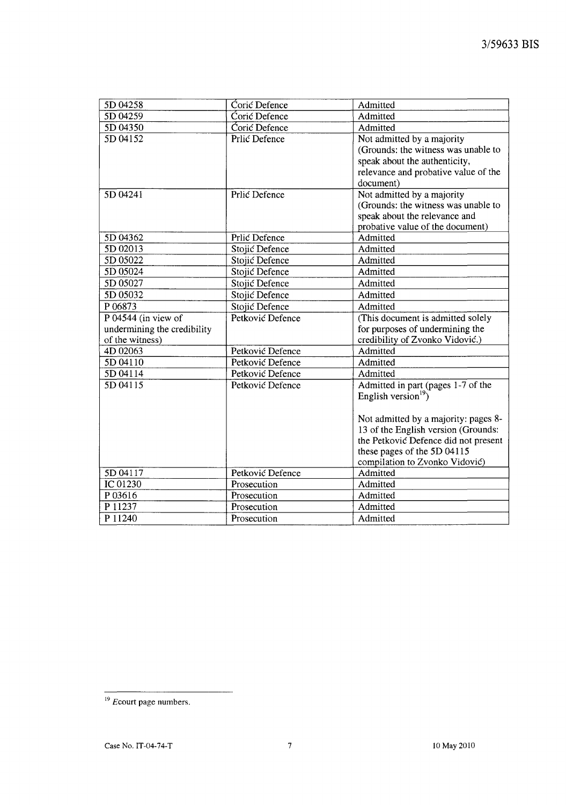| 5D 04258                    | Coric Defence    | Admitted                             |
|-----------------------------|------------------|--------------------------------------|
| 5D 04259                    | Corić Defence    | Admitted                             |
| 5D 04350                    | Coric Defence    | Admitted                             |
| 5D 04152                    | Prlić Defence    | Not admitted by a majority           |
|                             |                  | (Grounds: the witness was unable to  |
|                             |                  | speak about the authenticity,        |
|                             |                  | relevance and probative value of the |
|                             |                  | document)                            |
| 5D 04241                    | Prlić Defence    | Not admitted by a majority           |
|                             |                  | (Grounds: the witness was unable to  |
|                             |                  | speak about the relevance and        |
|                             |                  | probative value of the document)     |
| 5D 04362                    | Prlić Defence    | Admitted                             |
| 5D 02013                    | Stojić Defence   | Admitted                             |
| 5D 05022                    | Stojić Defence   | Admitted                             |
| 5D 05024                    | Stojić Defence   | Admitted                             |
| 5D 05027                    | Stojić Defence   | Admitted                             |
| 5D 05032                    | Stojić Defence   | Admitted                             |
| P 06873                     | Stojić Defence   | Admitted                             |
| P $04544$ (in view of       | Petković Defence | (This document is admitted solely    |
| undermining the credibility |                  | for purposes of undermining the      |
| of the witness)             |                  | credibility of Zvonko Vidović.)      |
| 4D 02063                    | Petković Defence | Admitted                             |
| 5D 04110                    | Petković Defence | Admitted                             |
| 5D 04114                    | Petković Defence | Admitted                             |
| 5D 04115                    | Petković Defence | Admitted in part (pages 1-7 of the   |
|                             |                  | English version <sup>19</sup> )      |
|                             |                  |                                      |
|                             |                  | Not admitted by a majority: pages 8- |
|                             |                  | 13 of the English version (Grounds:  |
|                             |                  | the Petković Defence did not present |
|                             |                  | these pages of the 5D 04115          |
|                             |                  | compilation to Zvonko Vidović)       |
| 5D 04117                    | Petković Defence | Admitted                             |
| IC 01230                    | Prosecution      | Admitted                             |
| P03616                      | Prosecution      | Admitted                             |
| P 11237                     | Prosecution      | Admitted                             |
| P 11240                     | Prosecution      | Admitted                             |

 $19$  Ecourt page numbers.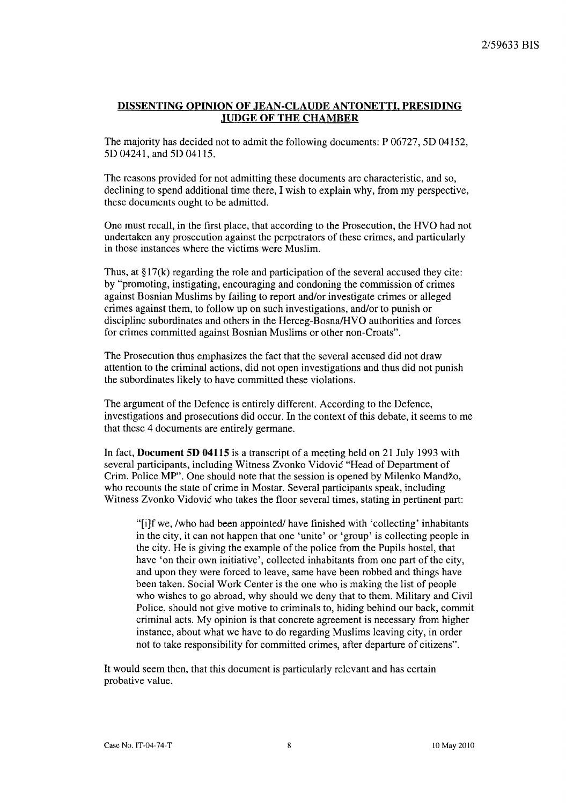## **DISSENTING OPINION OF JEAN-CLAUDE ANTONETTI, PRESIDING .JUDGE OF THE CHAMBER**

The majority has decided not to admit the following documents: P 06727, 5D 04152, 5D 04241, and 5D 04115.

The reasons provided for not admitting these documents are characteristic, and so, declining to spend additional time there, I wish to explain why, from my perspective, these documents ought to be admitted.

One must recall, in the first place, that according to the Prosecution, the HVO had not undertaken any prosecution against the perpetrators of these crimes, and particularly in those instances where the victims were Muslim.

Thus, at  $\S17(k)$  regarding the role and participation of the several accused they cite: by "promoting, instigating, encouraging and condoning the commission of crimes against Bosnian Muslims by failing to report and/or investigate crimes or alleged crimes against them, to follow up on such investigations, and/or to punish or discipline subordinates and others in the Herceg-Bosna/HVO authorities and forces for crimes committed against Bosnian Muslims or other non-Croats".

The Prosecution thus emphasizes the fact that the several accused did not draw attention to the criminal actions, did not open investigations and thus did not punish the subordinates likely to have committed these violations.

The argument of the Defence is entirely different. According to the Defence, investigations and prosecutions did occur. In the context of this debate, it seems to me that these 4 documents are entirely germane.

In fact, **Document 5D 04115** is a transcript of a meeting held on 21 July 1993 with several participants, including Witness Zvonko Vidovic "Head of Department of Crim. Police MP". One should note that the session is opened by Milenko Mandzo, who recounts the state of crime in Mostar. Several participants speak, including Witness Zvonko Vidovic who takes the floor several times, stating in pertinent part:

"[i]f we, /who had been appointed/ have finished with 'collecting' inhabitants in the city, it can not happen that one 'unite' or 'group' is collecting people in the city. He is giving the example of the police from the Pupils hostel, that have 'on their own initiative', collected inhabitants from one part of the city, and upon they were forced to leave, same have been robbed and things have been taken. Social Work Center is the one who is making the list of people who wishes to go abroad, why should we deny that to them. Military and Civil Police, should not give motive to criminals to, hiding behind our back, commit criminal acts. My opinion is that concrete agreement is necessary from higher instance, about what we have to do regarding Muslims leaving city, in order not to take responsibility for committed crimes, after departure of citizens".

It would seem then, that this document is particularly relevant and has certain probative value.